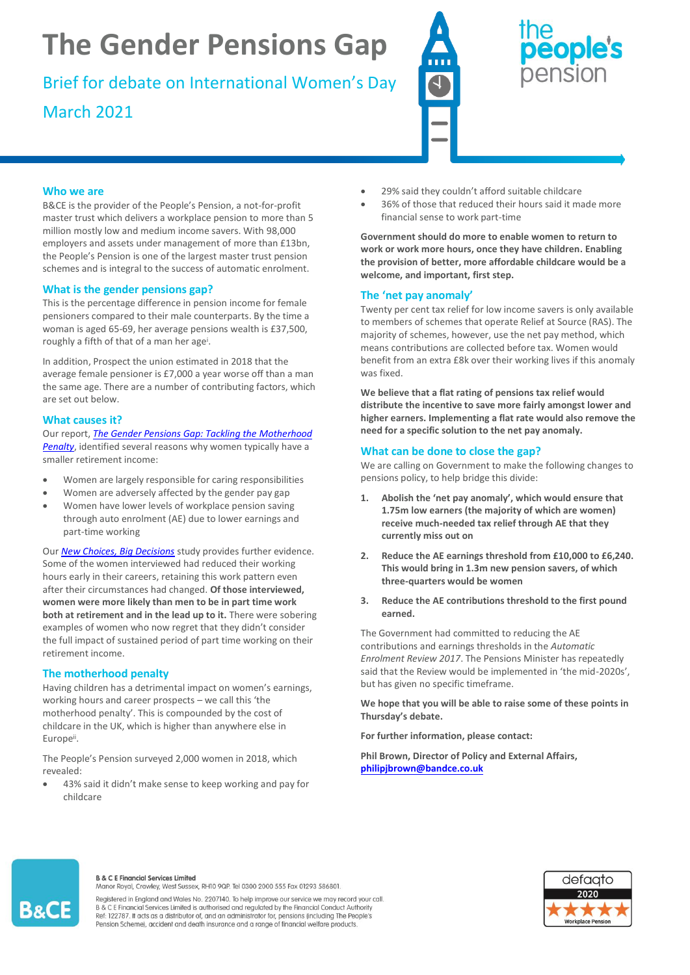# **The Gender Pensions Gap**

Brief for debate on International Women's Day March 2021



## eople's pension

#### **Who we are**

B&CE is the provider of the People's Pension, a not-for-profit master trust which delivers a workplace pension to more than 5 million mostly low and medium income savers. With 98,000 employers and assets under management of more than £13bn, the People's Pension is one of the largest master trust pension schemes and is integral to the success of automatic enrolment.

#### **What is the gender pensions gap?**

This is the percentage difference in pension income for female pensioners compared to their male counterparts. By the time a woman is aged 65-69, her average pensions wealth is £37,500, roughly a fifth of that of a man her age<sup>i</sup>.

In addition, Prospect the union estimated in 2018 that the average female pensioner is £7,000 a year worse off than a man the same age. There are a number of contributing factors, which are set out below.

#### **What causes it?**

Our report, *[The Gender Pensions Gap: Tackling the Motherhood](https://thepeoplespension.co.uk/media-centre/policy-research/the-gender-pensions-gap-tackling-the-motherhood-penalty/) [Penalty](https://thepeoplespension.co.uk/media-centre/policy-research/the-gender-pensions-gap-tackling-the-motherhood-penalty/)*, identified several reasons why women typically have a smaller retirement income:

- Women are largely responsible for caring responsibilities
- Women are adversely affected by the gender pay gap
- Women have lower levels of workplace pension saving through auto enrolment (AE) due to lower earnings and part-time working

Our *[New Choices, Big Decisions](https://thepeoplespension.co.uk/media-centre/policy-research/new-choices-big-decisions-5-years-on/)* study provides further evidence. Some of the women interviewed had reduced their working hours early in their careers, retaining this work pattern even after their circumstances had changed. **Of those interviewed, women were more likely than men to be in part time work both at retirement and in the lead up to it.** There were sobering examples of women who now regret that they didn't consider the full impact of sustained period of part time working on their retirement income.

### **The motherhood penalty**

Having children has a detrimental impact on women's earnings, working hours and career prospects – we call this 'the motherhood penalty'. This is compounded by the cost of childcare in the UK, which is higher than anywhere else in Europeii.

The People's Pension surveyed 2,000 women in 2018, which revealed:

• 43% said it didn't make sense to keep working and pay for childcare

- 29% said they couldn't afford suitable childcare
- 36% of those that reduced their hours said it made more financial sense to work part-time

**Government should do more to enable women to return to work or work more hours, once they have children. Enabling the provision of better, more affordable childcare would be a welcome, and important, first step.**

### **The 'net pay anomaly'**

Twenty per cent tax relief for low income savers is only available to members of schemes that operate Relief at Source (RAS). The majority of schemes, however, use the net pay method, which means contributions are collected before tax. Women would benefit from an extra £8k over their working lives if this anomaly was fixed.

**We believe that a flat rating of pensions tax relief would distribute the incentive to save more fairly amongst lower and higher earners. Implementing a flat rate would also remove the need for a specific solution to the net pay anomaly.** 

#### **What can be done to close the gap?**

We are calling on Government to make the following changes to pensions policy, to help bridge this divide:

- **1. Abolish the 'net pay anomaly', which would ensure that 1.75m low earners (the majority of which are women) receive much-needed tax relief through AE that they currently miss out on**
- **2. Reduce the AE earnings threshold from £10,000 to £6,240. This would bring in 1.3m new pension savers, of which three-quarters would be women**
- **3. Reduce the AE contributions threshold to the first pound earned.**

The Government had committed to reducing the AE contributions and earnings thresholds in the *Automatic Enrolment Review 2017*. The Pensions Minister has repeatedly said that the Review would be implemented in 'the mid-2020s', but has given no specific timeframe.

**We hope that you will be able to raise some of these points in Thursday's debate.** 

**For further information, please contact:** 

**Phil Brown, Director of Policy and External Affairs, [philipjbrown@bandce.co.uk](mailto:philipjbrown@bandce.co.uk)**



#### **B & C E Financial Services Limited**

Manor Royal, Crawley, West Sussex, RH10 9QP. Tel 0300 2000 555 Fax 01293 586801.

Registered in England and Wales No. 2207140. To help improve our service we may record your call B & C E Financial Services Limited is authorised and regulated by the Financial Conduct Authority Ref: 122787. It acts as a distributor of, and an administrator for, pensions (including The People's<br>Pension Scheme), accident and death insurance and a range of financial welfare products.